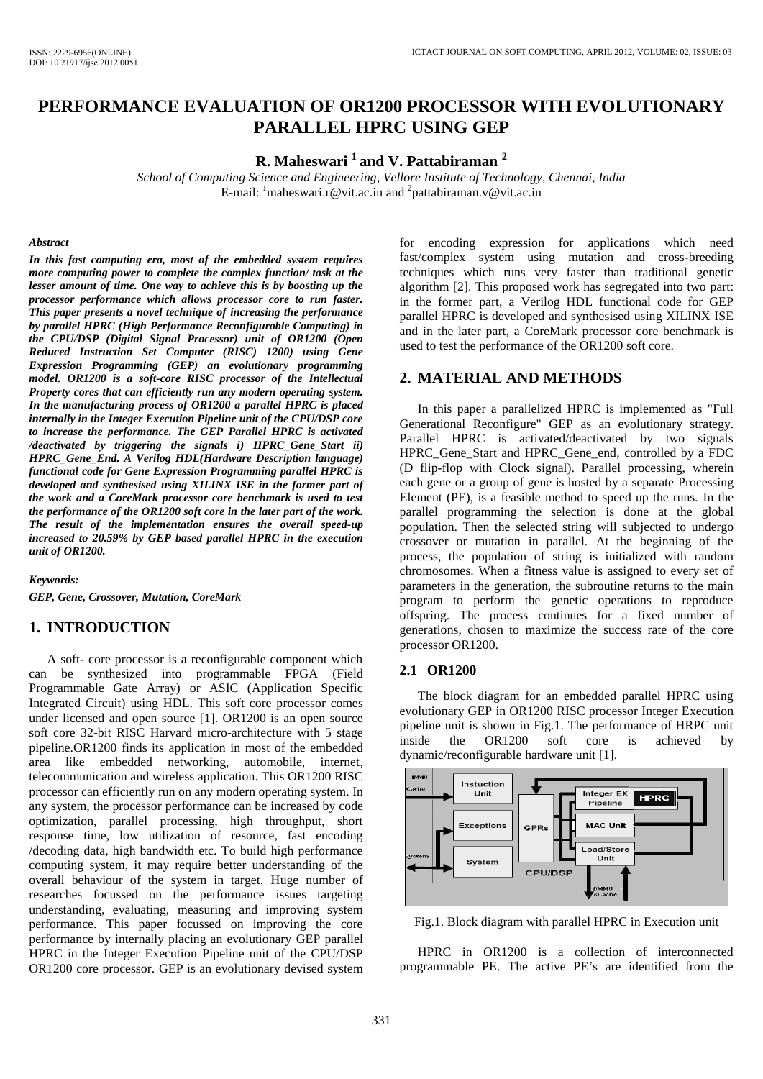# **PERFORMANCE EVALUATION OF OR1200 PROCESSOR WITH EVOLUTIONARY PARALLEL HPRC USING GEP**

**R. Maheswari <sup>1</sup>and V. Pattabiraman <sup>2</sup>**

*School of Computing Science and Engineering, Vellore Institute of Technology, Chennai, India*  E-mail:  $\frac{1}{2}$  [maheswari.r@vit.ac.in](mailto:maheswari.r@vit.ac.in) and  $\frac{2}{2}$  pattabiraman.v@vit.ac.in

#### *Abstract*

*In this fast computing era, most of the embedded system requires more computing power to complete the complex function/ task at the lesser amount of time. One way to achieve this is by boosting up the processor performance which allows processor core to run faster. This paper presents a novel technique of increasing the performance by parallel HPRC (High Performance Reconfigurable Computing) in the CPU/DSP (Digital Signal Processor) unit of OR1200 (Open Reduced Instruction Set Computer (RISC) 1200) using Gene Expression Programming (GEP) an evolutionary programming model. OR1200 is a soft-core RISC processor of the Intellectual Property cores that can efficiently run any modern operating system. In the manufacturing process of OR1200 a parallel HPRC is placed internally in the Integer Execution Pipeline unit of the CPU/DSP core to increase the performance. The GEP Parallel HPRC is activated /deactivated by triggering the signals i) HPRC\_Gene\_Start ii) HPRC\_Gene\_End. A Verilog HDL(Hardware Description language) functional code for Gene Expression Programming parallel HPRC is developed and synthesised using XILINX ISE in the former part of the work and a CoreMark processor core benchmark is used to test the performance of the OR1200 soft core in the later part of the work. The result of the implementation ensures the overall speed-up increased to 20.59% by GEP based parallel HPRC in the execution unit of OR1200.* 

*Keywords:* 

*GEP, Gene, Crossover, Mutation, CoreMark* 

## **1. INTRODUCTION**

A soft- core processor is a reconfigurable component which can be synthesized into programmable FPGA (Field Programmable Gate Array) or ASIC (Application Specific Integrated Circuit) using HDL. This soft core processor comes under licensed and open source [1]. OR1200 is an open source soft core 32-bit RISC Harvard micro-architecture with 5 stage pipeline.OR1200 finds its application in most of the embedded area like embedded networking, automobile, internet, telecommunication and wireless application. This OR1200 RISC processor can efficiently run on any modern operating system. In any system, the processor performance can be increased by code optimization, parallel processing, high throughput, short response time, low utilization of resource, fast encoding /decoding data, high bandwidth etc. To build high performance computing system, it may require better understanding of the overall behaviour of the system in target. Huge number of researches focussed on the performance issues targeting understanding, evaluating, measuring and improving system performance. This paper focussed on improving the core performance by internally placing an evolutionary GEP parallel HPRC in the Integer Execution Pipeline unit of the CPU/DSP OR1200 core processor. GEP is an evolutionary devised system for encoding expression for applications which need fast/complex system using mutation and cross-breeding techniques which runs very faster than traditional genetic algorithm [2]. This proposed work has segregated into two part: in the former part, a Verilog HDL functional code for GEP parallel HPRC is developed and synthesised using XILINX ISE and in the later part, a CoreMark processor core benchmark is used to test the performance of the OR1200 soft core.

## **2. MATERIAL AND METHODS**

In this paper a parallelized HPRC is implemented as "Full Generational Reconfigure" GEP as an evolutionary strategy. Parallel HPRC is activated/deactivated by two signals HPRC\_Gene\_Start and HPRC\_Gene\_end, controlled by a FDC (D flip-flop with Clock signal). Parallel processing, wherein each gene or a group of gene is hosted by a separate Processing Element (PE), is a feasible method to speed up the runs. In the parallel programming the selection is done at the global population. Then the selected string will subjected to undergo crossover or mutation in parallel. At the beginning of the process, the population of string is initialized with random chromosomes. When a fitness value is assigned to every set of parameters in the generation, the subroutine returns to the main program to perform the genetic operations to reproduce offspring. The process continues for a fixed number of generations, chosen to maximize the success rate of the core processor OR1200.

### **2.1 OR1200**

The block diagram for an embedded parallel HPRC using evolutionary GEP in OR1200 RISC processor Integer Execution pipeline unit is shown in Fig.1. The performance of HRPC unit inside the OR1200 soft core is achieved by dynamic/reconfigurable hardware unit [1].



Fig.1. Block diagram with parallel HPRC in Execution unit

HPRC in OR1200 is a collection of interconnected programmable PE. The active PE's are identified from the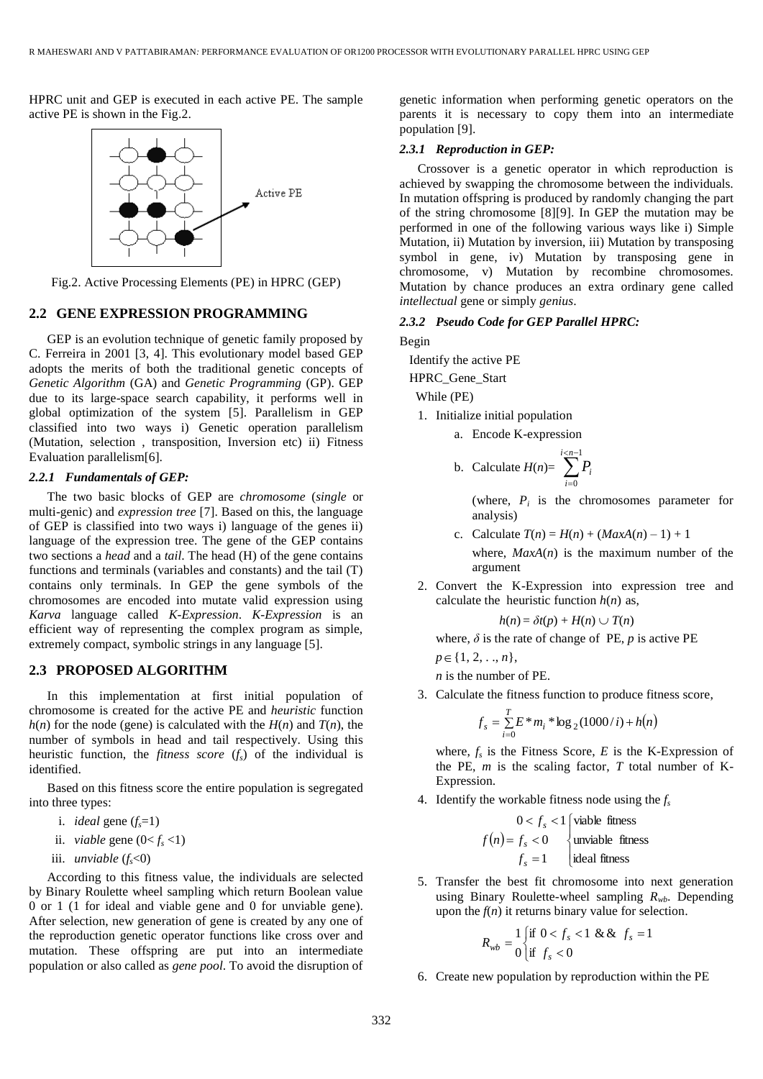HPRC unit and GEP is executed in each active PE. The sample active PE is shown in the Fig.2.



Fig.2. Active Processing Elements (PE) in HPRC (GEP)

## **2.2 GENE EXPRESSION PROGRAMMING**

GEP is an evolution technique of genetic family proposed by C. Ferreira in 2001 [3, 4]. This evolutionary model based GEP adopts the merits of both the traditional genetic concepts of *Genetic Algorithm* (GA) and *Genetic Programming* (GP). GEP due to its large-space search capability, it performs well in global optimization of the system [5]. Parallelism in GEP classified into two ways i) Genetic operation parallelism (Mutation, selection , transposition, Inversion etc) ii) Fitness Evaluation parallelism[6].

### *2.2.1 Fundamentals of GEP:*

The two basic blocks of GEP are *chromosome* (*single* or multi-genic) and *expression tree* [7]. Based on this, the language of GEP is classified into two ways i) language of the genes ii) language of the expression tree. The gene of the GEP contains two sections a *head* and a *tail*. The head (H) of the gene contains functions and terminals (variables and constants) and the tail (T) contains only terminals. In GEP the gene symbols of the chromosomes are encoded into mutate valid expression using *Karva* language called *K-Expression*. *K-Expression* is an efficient way of representing the complex program as simple, extremely compact, symbolic strings in any language [5].

## **2.3 PROPOSED ALGORITHM**

In this implementation at first initial population of chromosome is created for the active PE and *heuristic* function  $h(n)$  for the node (gene) is calculated with the  $H(n)$  and  $T(n)$ , the number of symbols in head and tail respectively. Using this heuristic function, the *fitness score* (*fs*) of the individual is identified.

Based on this fitness score the entire population is segregated into three types:

- i. *ideal* gene  $(f_s=1)$
- ii. *viable* gene  $(0 < f_s < 1)$
- iii. *unviable* (*fs*<0)

According to this fitness value, the individuals are selected by Binary Roulette wheel sampling which return Boolean value 0 or 1 (1 for ideal and viable gene and 0 for unviable gene). After selection, new generation of gene is created by any one of the reproduction genetic operator functions like cross over and mutation. These offspring are put into an intermediate population or also called as *gene pool*. To avoid the disruption of genetic information when performing genetic operators on the parents it is necessary to copy them into an intermediate population [9].

### *2.3.1 Reproduction in GEP:*

Crossover is a genetic operator in which reproduction is achieved by swapping the chromosome between the individuals. In mutation offspring is produced by randomly changing the part of the string chromosome [8][9]. In GEP the mutation may be performed in one of the following various ways like i) Simple Mutation, ii) Mutation by inversion, iii) Mutation by transposing symbol in gene, iv) Mutation by transposing gene in chromosome, v) Mutation by recombine chromosomes. Mutation by chance produces an extra ordinary gene called *intellectual* gene or simply *genius*.

### *2.3.2 Pseudo Code for GEP Parallel HPRC:*

Begin

Identify the active PE

HPRC\_Gene\_Start

While (PE)

1. Initialize initial population

a. Encode K-expression

b. Calculate 
$$
H(n) = \sum_{i=0}^{i \le n-1} P_i
$$

(where,  $P_i$  is the chromosomes parameter for analysis)

c. Calculate  $T(n) = H(n) + (MaxA(n) - 1) + 1$ 

where,  $MaxA(n)$  is the maximum number of the argument

2. Convert the K-Expression into expression tree and calculate the heuristic function  $h(n)$  as,

$$
h(n) = \delta t(p) + H(n) \cup T(n)
$$

where,  $\delta$  is the rate of change of PE,  $p$  is active PE

*p* ∈ {1, 2, . ., *n* },

*n* is the number of PE.

3. Calculate the fitness function to produce fitness score,

$$
f_s = \sum_{i=0}^{T} E^* m_i * \log_2(1000/i) + h(n)
$$

where,  $f_s$  is the Fitness Score,  $E$  is the K-Expression of the PE, *m* is the scaling factor, *T* total number of K-Expression.

4. Identify the workable fitness node using the *f<sup>s</sup>*

$$
0 < f_s < 1 \text{ (viable fitness)}
$$
\n
$$
f(n) = f_s < 0
$$
\n
$$
f_s = 1
$$
\n
$$
f_s = 1
$$
\n
$$
j \text{ ideal fitness}
$$

5. Transfer the best fit chromosome into next generation using Binary Roulette-wheel sampling  $R_{wb}$ . Depending upon the  $f(n)$  it returns binary value for selection.

$$
R_{wb} = \frac{1}{0} \begin{cases} \text{if } 0 < f_s < 1 \ \& \& f_s = 1 \\ \text{if } f_s < 0 \end{cases}
$$

6. Create new population by reproduction within the PE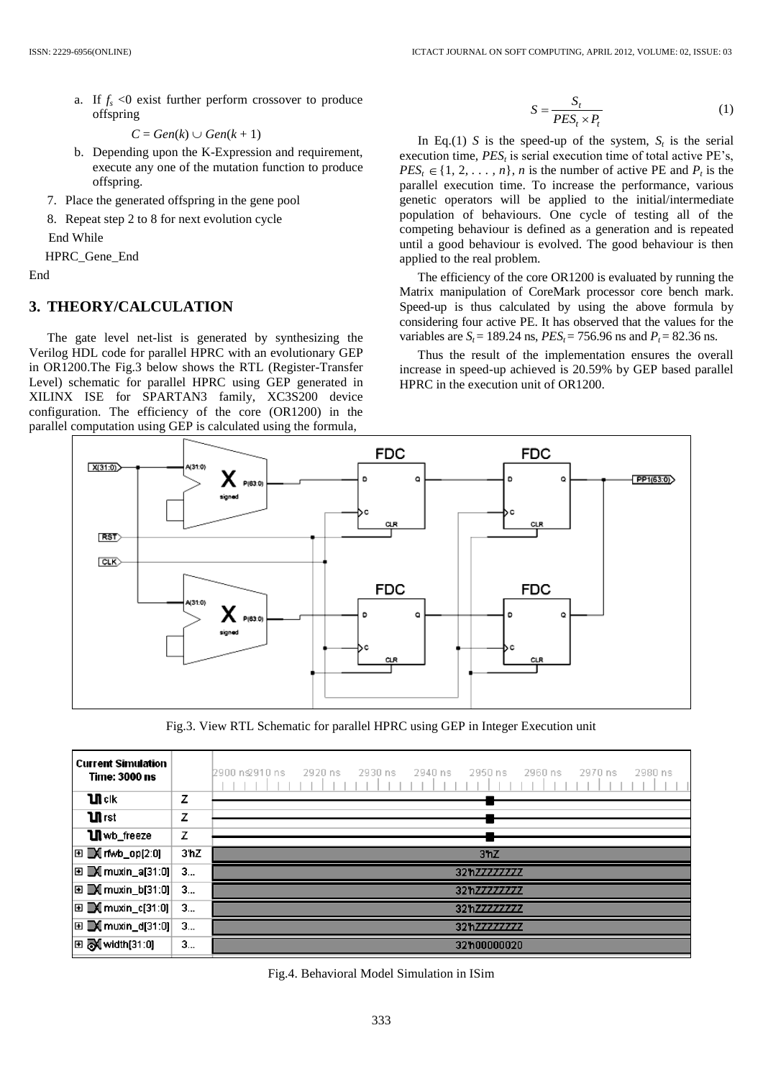a. If  $f_s < 0$  exist further perform crossover to produce offspring

```
C = Gen(k) \cup Gen(k + 1)
```
- b. Depending upon the K-Expression and requirement, execute any one of the mutation function to produce offspring.
- 7. Place the generated offspring in the gene pool
- 8. Repeat step 2 to 8 for next evolution cycle

End While

HPRC\_Gene\_End

End

## **3. THEORY/CALCULATION**

The gate level net-list is generated by synthesizing the Verilog HDL code for parallel HPRC with an evolutionary GEP in OR1200.The Fig.3 below shows the RTL (Register-Transfer Level) schematic for parallel HPRC using GEP generated in XILINX ISE for SPARTAN3 family, XC3S200 device configuration. The efficiency of the core (OR1200) in the parallel computation using GEP is calculated using the formula,

$$
S = \frac{S_t}{PES_t \times P_t} \tag{1}
$$

In Eq.(1) *S* is the speed-up of the system,  $S_t$  is the serial execution time, *PES<sup>t</sup>* is serial execution time of total active PE's,  $PES_t \in \{1, 2, \ldots, n\}$ , *n* is the number of active PE and  $P_t$  is the parallel execution time. To increase the performance, various genetic operators will be applied to the initial/intermediate population of behaviours. One cycle of testing all of the competing behaviour is defined as a generation and is repeated until a good behaviour is evolved. The good behaviour is then applied to the real problem.

The efficiency of the core OR1200 is evaluated by running the Matrix manipulation of CoreMark processor core bench mark. Speed-up is thus calculated by using the above formula by considering four active PE. It has observed that the values for the variables are  $S_t = 189.24$  ns,  $PES_t = 756.96$  ns and  $P_t = 82.36$  ns.

Thus the result of the implementation ensures the overall increase in speed-up achieved is 20.59% by GEP based parallel HPRC in the execution unit of OR1200.



Fig.3. View RTL Schematic for parallel HPRC using GEP in Integer Execution unit

|      | 2900 ng 910 ns<br>2920 ns<br>2930 ns<br>2940 ns<br>2950 ns<br>2960 ns<br>2970 ns<br>2980 ns                    |
|------|----------------------------------------------------------------------------------------------------------------|
| z    |                                                                                                                |
| z    |                                                                                                                |
| z    |                                                                                                                |
| 3'hZ | 3 <sup>n</sup> Z                                                                                               |
| 3    | 32hZZZZZZZZZ                                                                                                   |
| 3    | 32hZ7777777                                                                                                    |
| 3    | 32h77777777                                                                                                    |
| 3    | 32h77777777                                                                                                    |
| 3    | 32'h00000020                                                                                                   |
|      | $\mathbf{E}$ M muxin_a[31:0]<br>$\mathbf{E} \mathbf{M}$ muxin_b[31:0]<br>$\mathbf{E} \mathbf{E}$ muxin_d[31:0] |

Fig.4. Behavioral Model Simulation in ISim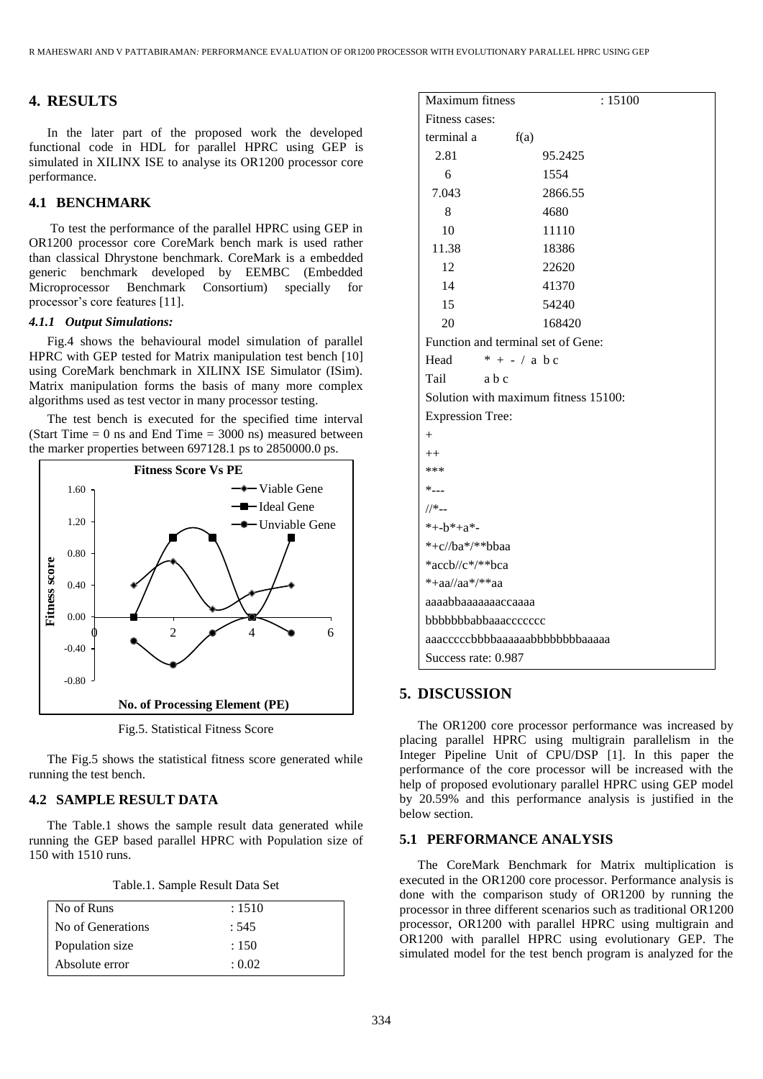## **4. RESULTS**

In the later part of the proposed work the developed functional code in HDL for parallel HPRC using GEP is simulated in XILINX ISE to analyse its OR1200 processor core performance.

## **4.1 BENCHMARK**

To test the performance of the parallel HPRC using GEP in OR1200 processor core CoreMark bench mark is used rather than classical Dhrystone benchmark. CoreMark is a embedded generic benchmark developed by EEMBC (Embedded Microprocessor Benchmark Consortium) specially for processor's core features [11].

### *4.1.1 Output Simulations:*

Fig.4 shows the behavioural model simulation of parallel HPRC with GEP tested for Matrix manipulation test bench [10] using CoreMark benchmark in XILINX ISE Simulator (ISim). Matrix manipulation forms the basis of many more complex algorithms used as test vector in many processor testing.

The test bench is executed for the specified time interval (Start Time  $= 0$  ns and End Time  $= 3000$  ns) measured between the marker properties between 697128.1 ps to 2850000.0 ps.



Fig.5. Statistical Fitness Score

The Fig.5 shows the statistical fitness score generated while running the test bench.

## **4.2 SAMPLE RESULT DATA**

The Table.1 shows the sample result data generated while running the GEP based parallel HPRC with Population size of 150 with 1510 runs.

| No of Runs          | : 1510 |
|---------------------|--------|
| l No of Generations | : 545  |
| Population size     | : 150  |
| Absolute error      | : 0.02 |

| Maximum fitness                | : 15100                              |  |  |  |  |
|--------------------------------|--------------------------------------|--|--|--|--|
| Fitness cases:                 |                                      |  |  |  |  |
| terminal a                     | f(a)                                 |  |  |  |  |
| 2.81                           | 95.2425                              |  |  |  |  |
| 6                              | 1554                                 |  |  |  |  |
| 7.043                          | 2866.55                              |  |  |  |  |
| 8                              | 4680                                 |  |  |  |  |
| 10                             | 11110                                |  |  |  |  |
| 11.38                          | 18386                                |  |  |  |  |
| 12                             | 22620                                |  |  |  |  |
| 14                             | 41370                                |  |  |  |  |
| 15                             | 54240                                |  |  |  |  |
| 20                             | 168420                               |  |  |  |  |
|                                | Function and terminal set of Gene:   |  |  |  |  |
| Head                           | $* + - / a b c$                      |  |  |  |  |
| Tail                           | a b c                                |  |  |  |  |
|                                | Solution with maximum fitness 15100: |  |  |  |  |
| <b>Expression Tree:</b>        |                                      |  |  |  |  |
| $^{+}$                         |                                      |  |  |  |  |
| $++$                           |                                      |  |  |  |  |
| ***                            |                                      |  |  |  |  |
| $*_{---}$                      |                                      |  |  |  |  |
| $//*_{--}$                     |                                      |  |  |  |  |
| *+- $b$ *+a*-                  |                                      |  |  |  |  |
| *+c//ba*/**bbaa                |                                      |  |  |  |  |
| *accb//c*/**bca                |                                      |  |  |  |  |
| $*+aa/aa*/**aa$                |                                      |  |  |  |  |
| aaaabbaaaaaaaaccaaaa           |                                      |  |  |  |  |
| bbbbbbbabbaaaccccccc           |                                      |  |  |  |  |
| aaacccccbbbbaaaaaabbbbbbbaaaaa |                                      |  |  |  |  |
| Success rate: 0.987            |                                      |  |  |  |  |

## **5. DISCUSSION**

The OR1200 core processor performance was increased by placing parallel HPRC using multigrain parallelism in the Integer Pipeline Unit of CPU/DSP [1]. In this paper the performance of the core processor will be increased with the help of proposed evolutionary parallel HPRC using GEP model by 20.59% and this performance analysis is justified in the below section.

## **5.1 PERFORMANCE ANALYSIS**

The CoreMark Benchmark for Matrix multiplication is executed in the OR1200 core processor. Performance analysis is done with the comparison study of OR1200 by running the processor in three different scenarios such as traditional OR1200 processor, OR1200 with parallel HPRC using multigrain and OR1200 with parallel HPRC using evolutionary GEP. The simulated model for the test bench program is analyzed for the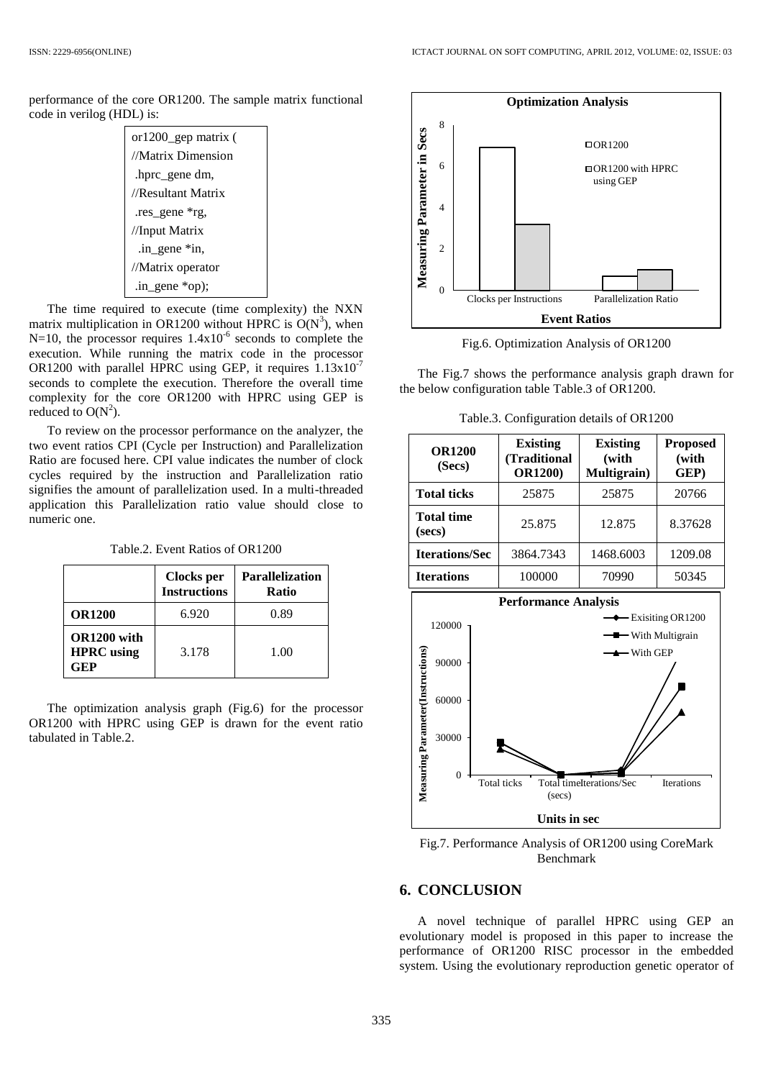performance of the core OR1200. The sample matrix functional code in verilog (HDL) is:

| or1200_gep matrix ( |  |  |  |  |
|---------------------|--|--|--|--|
| //Matrix Dimension  |  |  |  |  |
| hprc gene dm,       |  |  |  |  |
| //Resultant Matrix  |  |  |  |  |
| .res_gene *rg,      |  |  |  |  |
| //Input Matrix      |  |  |  |  |
| .in_gene *in,       |  |  |  |  |
| //Matrix operator   |  |  |  |  |
| .in_gene $*op$ ;    |  |  |  |  |

The time required to execute (time complexity) the NXN matrix multiplication in OR1200 without HPRC is  $O(N^3)$ , when  $N=10$ , the processor requires  $1.4x10^{-6}$  seconds to complete the execution. While running the matrix code in the processor OR1200 with parallel HPRC using GEP, it requires 1.13x10-7 seconds to complete the execution. Therefore the overall time complexity for the core OR1200 with HPRC using GEP is reduced to  $O(N^2)$ .

To review on the processor performance on the analyzer, the two event ratios CPI (Cycle per Instruction) and Parallelization Ratio are focused here. CPI value indicates the number of clock cycles required by the instruction and Parallelization ratio signifies the amount of parallelization used. In a multi-threaded application this Parallelization ratio value should close to numeric one.

Table.2. Event Ratios of OR1200

|                                         | Clocks per<br><b>Instructions</b> | <b>Parallelization</b><br>Ratio |
|-----------------------------------------|-----------------------------------|---------------------------------|
| <b>OR1200</b>                           | 6.920                             | 0.89                            |
| OR1200 with<br><b>HPRC</b> using<br>GEP | 3.178                             | 1.00                            |

The optimization analysis graph (Fig.6) for the processor OR1200 with HPRC using GEP is drawn for the event ratio tabulated in Table.2.



Fig.6. Optimization Analysis of OR1200

The Fig.7 shows the performance analysis graph drawn for the below configuration table Table.3 of OR1200.

Table.3. Configuration details of OR1200

| <b>OR1200</b><br>(Secs)     | <b>Existing</b><br>(Traditional<br><b>OR1200)</b> | <b>Existing</b><br>(with<br>Multigrain) | <b>Proposed</b><br>(with<br>GEP) |
|-----------------------------|---------------------------------------------------|-----------------------------------------|----------------------------------|
| <b>Total ticks</b>          | 25875                                             | 25875                                   | 20766                            |
| <b>Total time</b><br>(secs) | 25.875                                            | 12.875                                  | 8.37628                          |
| <b>Iterations/Sec</b>       | 3864.7343                                         | 1468.6003                               | 1209.08                          |
| <b>Iterations</b>           | 100000                                            | 70990                                   | 50345                            |



Fig.7. Performance Analysis of OR1200 using CoreMark Benchmark

## **6. CONCLUSION**

A novel technique of parallel HPRC using GEP an evolutionary model is proposed in this paper to increase the performance of OR1200 RISC processor in the embedded system. Using the evolutionary reproduction genetic operator of